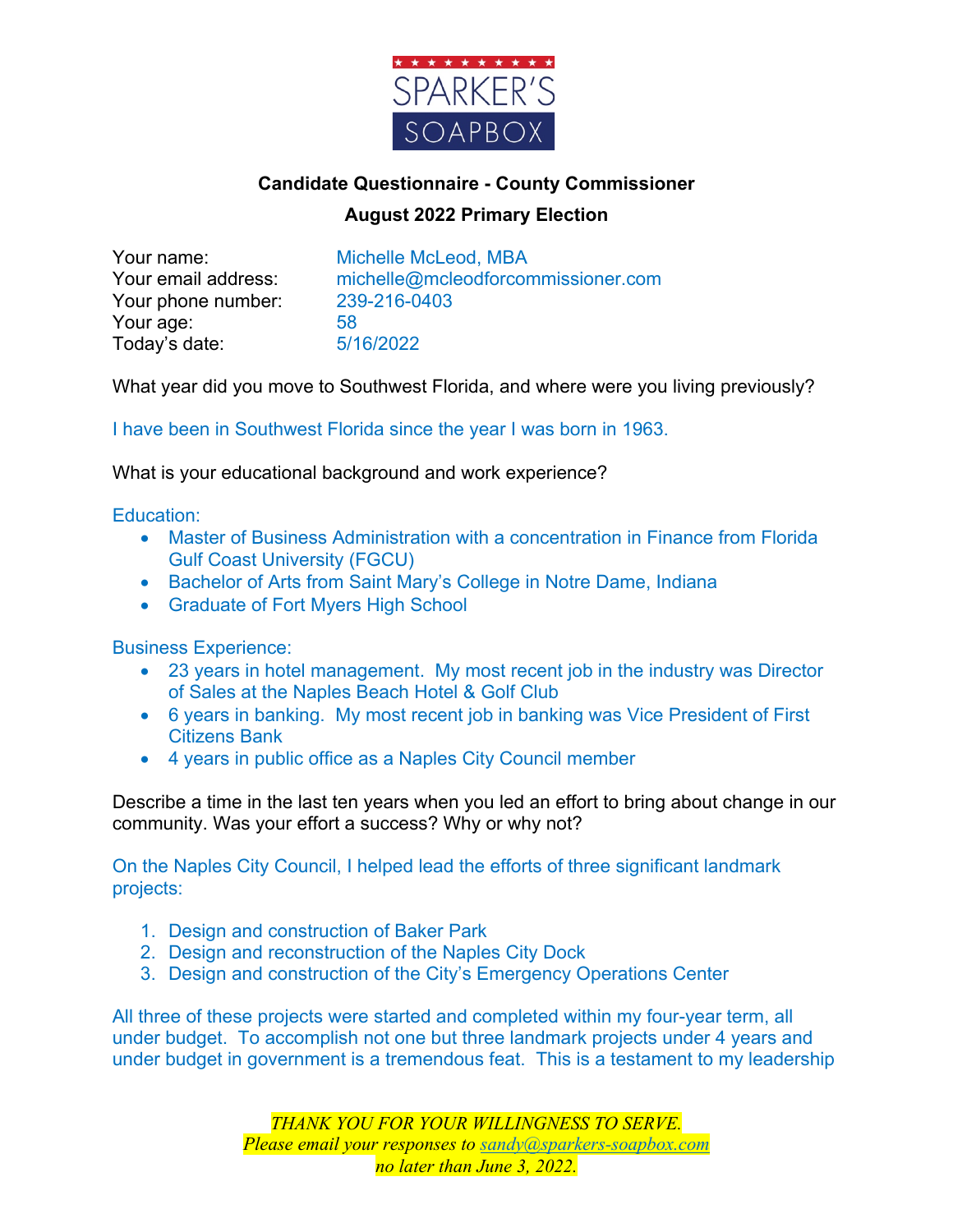

## **Candidate Questionnaire - County Commissioner August 2022 Primary Election**

Your phone number: 239-216-0403 Your age: 58 Today's date: 5/16/2022

Your name: Michelle McLeod, MBA Your email address: michelle@mcleodforcommissioner.com

What year did you move to Southwest Florida, and where were you living previously?

I have been in Southwest Florida since the year I was born in 1963.

What is your educational background and work experience?

## Education:

- Master of Business Administration with a concentration in Finance from Florida Gulf Coast University (FGCU)
- Bachelor of Arts from Saint Mary's College in Notre Dame, Indiana
- Graduate of Fort Myers High School

Business Experience:

- 23 years in hotel management. My most recent job in the industry was Director of Sales at the Naples Beach Hotel & Golf Club
- 6 years in banking. My most recent job in banking was Vice President of First Citizens Bank
- 4 years in public office as a Naples City Council member

Describe a time in the last ten years when you led an effort to bring about change in our community. Was your effort a success? Why or why not?

On the Naples City Council, I helped lead the efforts of three significant landmark projects:

- 1. Design and construction of Baker Park
- 2. Design and reconstruction of the Naples City Dock
- 3. Design and construction of the City's Emergency Operations Center

All three of these projects were started and completed within my four-year term, all under budget. To accomplish not one but three landmark projects under 4 years and under budget in government is a tremendous feat. This is a testament to my leadership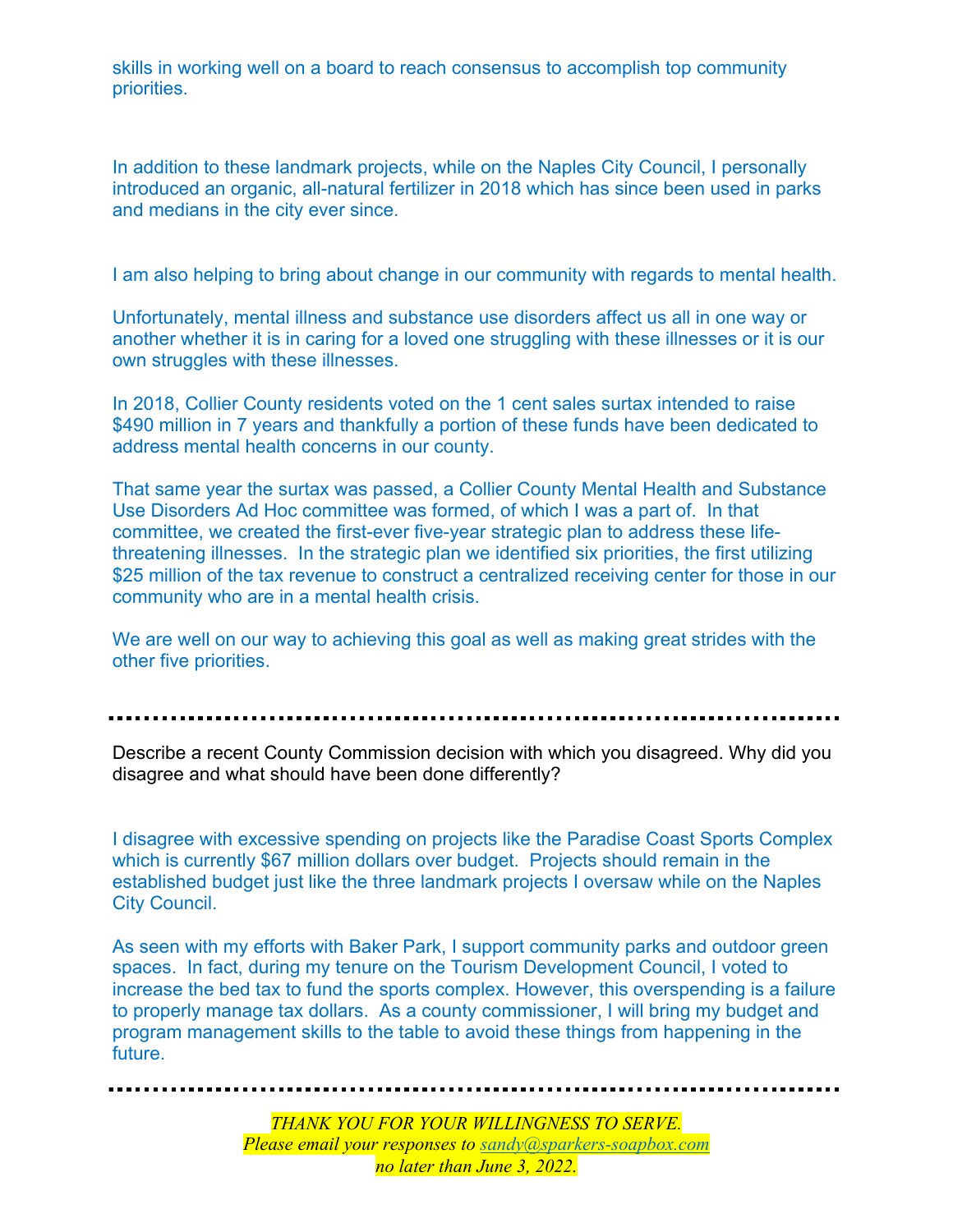skills in working well on a board to reach consensus to accomplish top community priorities.

In addition to these landmark projects, while on the Naples City Council, I personally introduced an organic, all-natural fertilizer in 2018 which has since been used in parks and medians in the city ever since.

I am also helping to bring about change in our community with regards to mental health.

Unfortunately, mental illness and substance use disorders affect us all in one way or another whether it is in caring for a loved one struggling with these illnesses or it is our own struggles with these illnesses.

In 2018, Collier County residents voted on the 1 cent sales surtax intended to raise \$490 million in 7 years and thankfully a portion of these funds have been dedicated to address mental health concerns in our county.

That same year the surtax was passed, a Collier County Mental Health and Substance Use Disorders Ad Hoc committee was formed, of which I was a part of. In that committee, we created the first-ever five-year strategic plan to address these lifethreatening illnesses. In the strategic plan we identified six priorities, the first utilizing \$25 million of the tax revenue to construct a centralized receiving center for those in our community who are in a mental health crisis.

We are well on our way to achieving this goal as well as making great strides with the other five priorities.

Describe a recent County Commission decision with which you disagreed. Why did you disagree and what should have been done differently?

I disagree with excessive spending on projects like the Paradise Coast Sports Complex which is currently \$67 million dollars over budget. Projects should remain in the established budget just like the three landmark projects I oversaw while on the Naples City Council.

As seen with my efforts with Baker Park, I support community parks and outdoor green spaces. In fact, during my tenure on the Tourism Development Council, I voted to increase the bed tax to fund the sports complex. However, this overspending is a failure to properly manage tax dollars. As a county commissioner, I will bring my budget and program management skills to the table to avoid these things from happening in the future.

*THANK YOU FOR YOUR WILLINGNESS TO SERVE. Please email your responses to sandy@sparkers-soapbox.com no later than June 3, 2022.*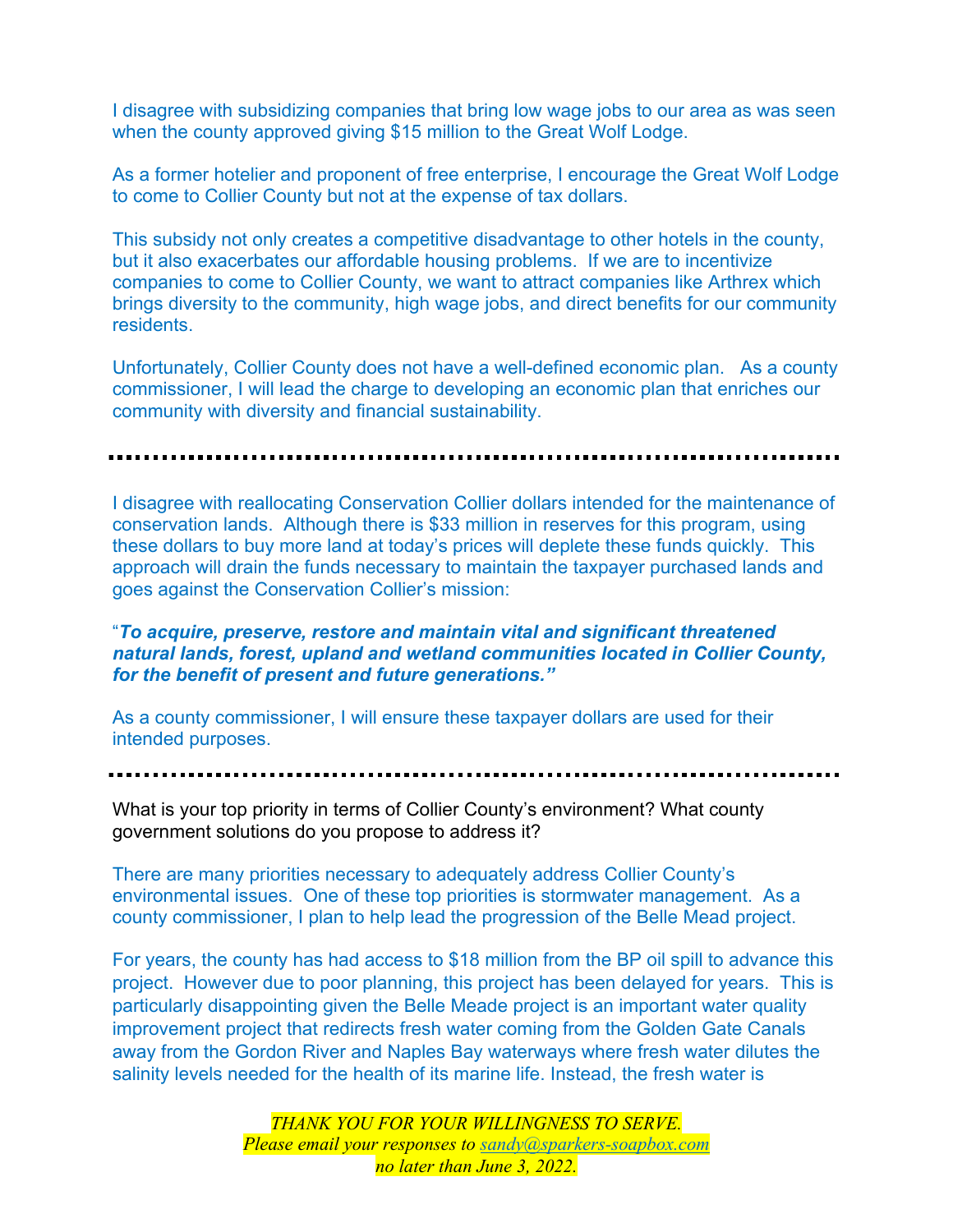I disagree with subsidizing companies that bring low wage jobs to our area as was seen when the county approved giving \$15 million to the Great Wolf Lodge.

As a former hotelier and proponent of free enterprise, I encourage the Great Wolf Lodge to come to Collier County but not at the expense of tax dollars.

This subsidy not only creates a competitive disadvantage to other hotels in the county, but it also exacerbates our affordable housing problems. If we are to incentivize companies to come to Collier County, we want to attract companies like Arthrex which brings diversity to the community, high wage jobs, and direct benefits for our community residents.

Unfortunately, Collier County does not have a well-defined economic plan. As a county commissioner, I will lead the charge to developing an economic plan that enriches our community with diversity and financial sustainability.

I disagree with reallocating Conservation Collier dollars intended for the maintenance of conservation lands. Although there is \$33 million in reserves for this program, using these dollars to buy more land at today's prices will deplete these funds quickly. This approach will drain the funds necessary to maintain the taxpayer purchased lands and goes against the Conservation Collier's mission:

## "*To acquire, preserve, restore and maintain vital and significant threatened natural lands, forest, upland and wetland communities located in Collier County, for the benefit of present and future generations."*

As a county commissioner, I will ensure these taxpayer dollars are used for their intended purposes.

What is your top priority in terms of Collier County's environment? What county government solutions do you propose to address it?

There are many priorities necessary to adequately address Collier County's environmental issues. One of these top priorities is stormwater management. As a county commissioner, I plan to help lead the progression of the Belle Mead project.

For years, the county has had access to \$18 million from the BP oil spill to advance this project. However due to poor planning, this project has been delayed for years. This is particularly disappointing given the Belle Meade project is an important water quality improvement project that redirects fresh water coming from the Golden Gate Canals away from the Gordon River and Naples Bay waterways where fresh water dilutes the salinity levels needed for the health of its marine life. Instead, the fresh water is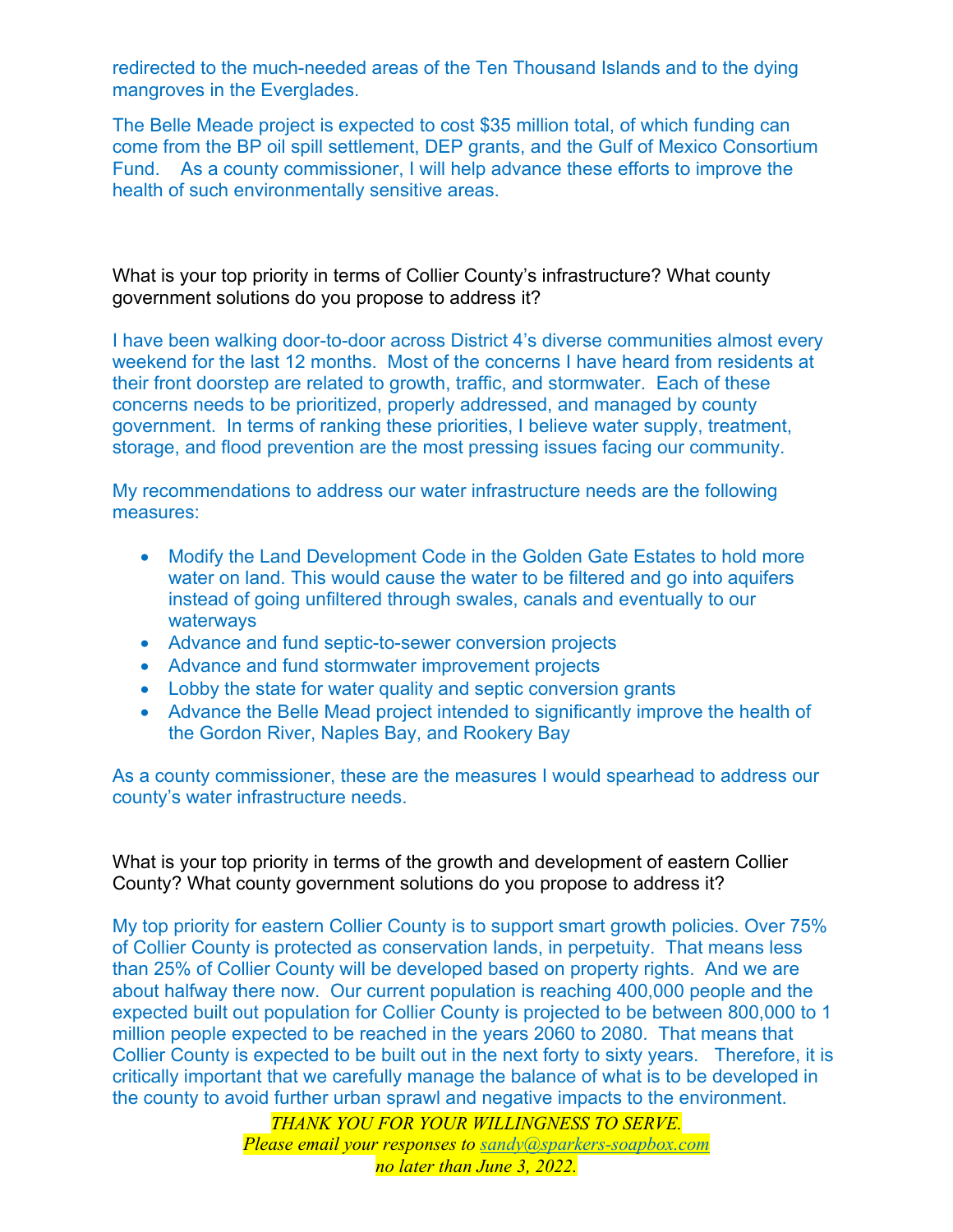redirected to the much-needed areas of the Ten Thousand Islands and to the dying mangroves in the Everglades.

The Belle Meade project is expected to cost \$35 million total, of which funding can come from the BP oil spill settlement, DEP grants, and the Gulf of Mexico Consortium Fund. As a county commissioner, I will help advance these efforts to improve the health of such environmentally sensitive areas.

What is your top priority in terms of Collier County's infrastructure? What county government solutions do you propose to address it?

I have been walking door-to-door across District 4's diverse communities almost every weekend for the last 12 months. Most of the concerns I have heard from residents at their front doorstep are related to growth, traffic, and stormwater. Each of these concerns needs to be prioritized, properly addressed, and managed by county government. In terms of ranking these priorities, I believe water supply, treatment, storage, and flood prevention are the most pressing issues facing our community.

My recommendations to address our water infrastructure needs are the following measures:

- Modify the Land Development Code in the Golden Gate Estates to hold more water on land. This would cause the water to be filtered and go into aquifers instead of going unfiltered through swales, canals and eventually to our waterways
- Advance and fund septic-to-sewer conversion projects
- Advance and fund stormwater improvement projects
- Lobby the state for water quality and septic conversion grants
- Advance the Belle Mead project intended to significantly improve the health of the Gordon River, Naples Bay, and Rookery Bay

As a county commissioner, these are the measures I would spearhead to address our county's water infrastructure needs.

What is your top priority in terms of the growth and development of eastern Collier County? What county government solutions do you propose to address it?

My top priority for eastern Collier County is to support smart growth policies. Over 75% of Collier County is protected as conservation lands, in perpetuity. That means less than 25% of Collier County will be developed based on property rights. And we are about halfway there now. Our current population is reaching 400,000 people and the expected built out population for Collier County is projected to be between 800,000 to 1 million people expected to be reached in the years 2060 to 2080. That means that Collier County is expected to be built out in the next forty to sixty years. Therefore, it is critically important that we carefully manage the balance of what is to be developed in the county to avoid further urban sprawl and negative impacts to the environment.

> *THANK YOU FOR YOUR WILLINGNESS TO SERVE. Please email your responses to sandy@sparkers-soapbox.com no later than June 3, 2022.*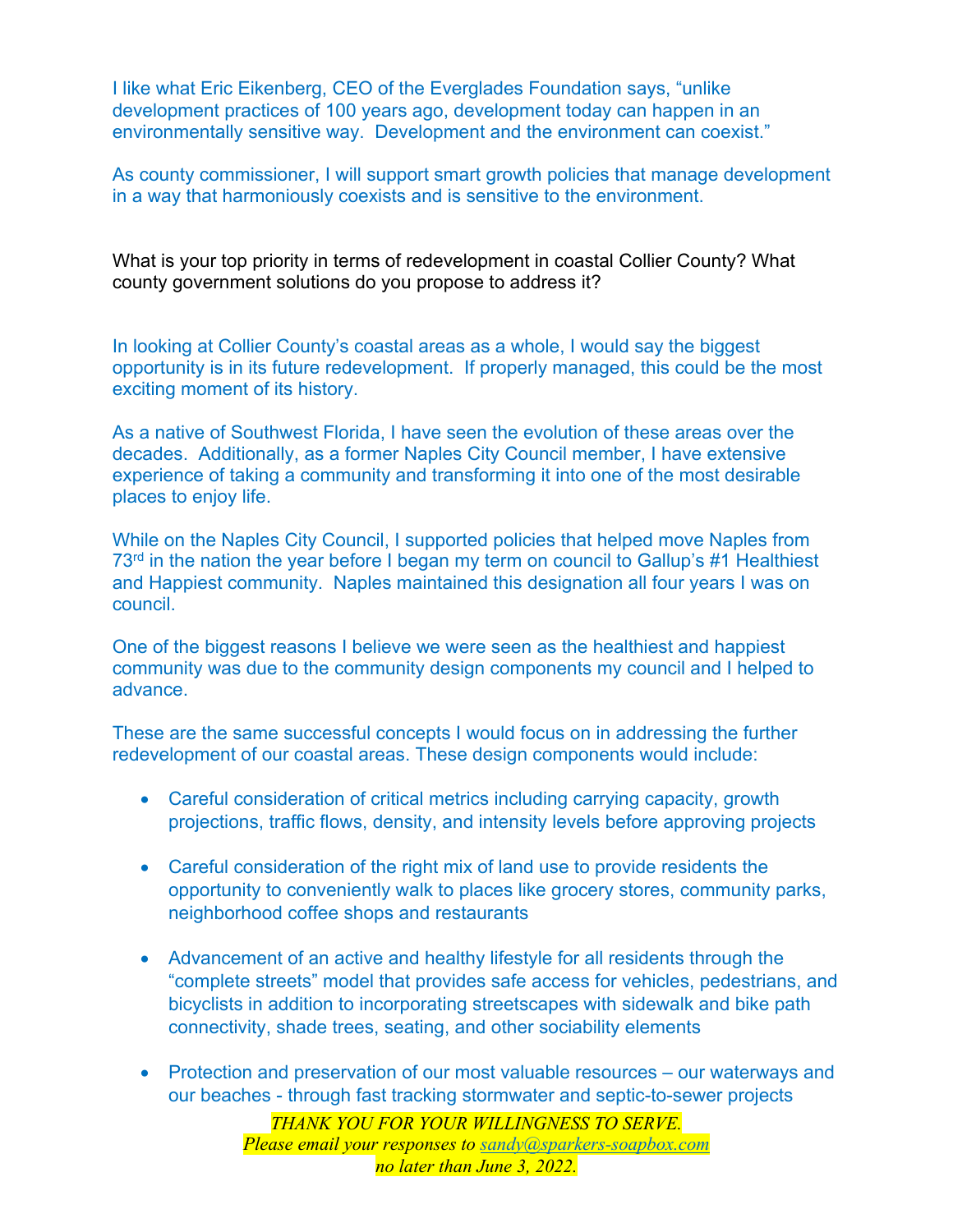I like what Eric Eikenberg, CEO of the Everglades Foundation says, "unlike development practices of 100 years ago, development today can happen in an environmentally sensitive way. Development and the environment can coexist."

As county commissioner, I will support smart growth policies that manage development in a way that harmoniously coexists and is sensitive to the environment.

What is your top priority in terms of redevelopment in coastal Collier County? What county government solutions do you propose to address it?

In looking at Collier County's coastal areas as a whole, I would say the biggest opportunity is in its future redevelopment. If properly managed, this could be the most exciting moment of its history.

As a native of Southwest Florida, I have seen the evolution of these areas over the decades. Additionally, as a former Naples City Council member, I have extensive experience of taking a community and transforming it into one of the most desirable places to enjoy life.

While on the Naples City Council, I supported policies that helped move Naples from 73<sup>rd</sup> in the nation the year before I began my term on council to Gallup's #1 Healthiest and Happiest community. Naples maintained this designation all four years I was on council.

One of the biggest reasons I believe we were seen as the healthiest and happiest community was due to the community design components my council and I helped to advance.

These are the same successful concepts I would focus on in addressing the further redevelopment of our coastal areas. These design components would include:

- Careful consideration of critical metrics including carrying capacity, growth projections, traffic flows, density, and intensity levels before approving projects
- Careful consideration of the right mix of land use to provide residents the opportunity to conveniently walk to places like grocery stores, community parks, neighborhood coffee shops and restaurants
- Advancement of an active and healthy lifestyle for all residents through the "complete streets" model that provides safe access for vehicles, pedestrians, and bicyclists in addition to incorporating streetscapes with sidewalk and bike path connectivity, shade trees, seating, and other sociability elements
- Protection and preservation of our most valuable resources our waterways and our beaches - through fast tracking stormwater and septic-to-sewer projects

*THANK YOU FOR YOUR WILLINGNESS TO SERVE. Please email your responses to sandy@sparkers-soapbox.com no later than June 3, 2022.*